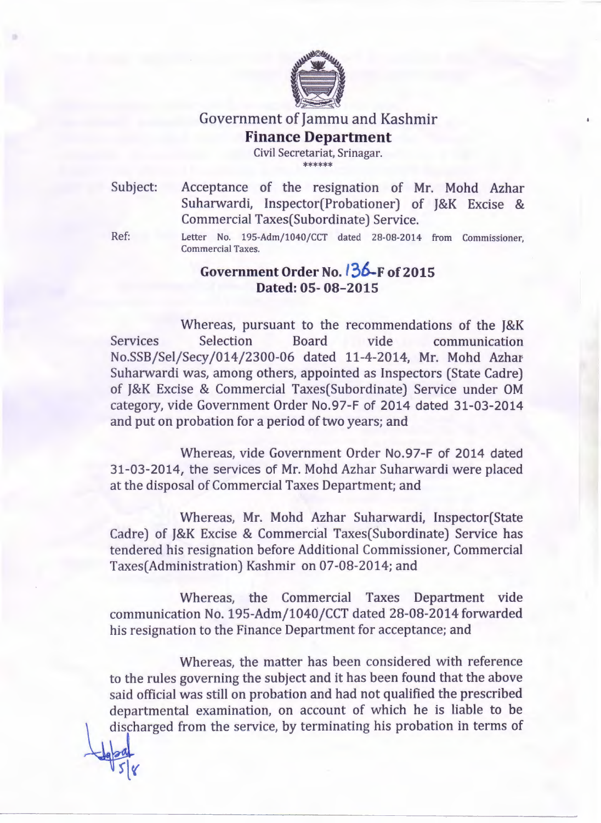

## Government of Jammu and Kashmir **Finance Department**

Civil Secretariat, Srinagar. \*\*\*\*\*\*

Subject: Acceptance of the resignation of Mr. Mohd Azhar Suharwardi, Inspector(Probationer) of J&K Excise & Commercial Taxes(Subordinate) Service.

Ref:

Letter No. 195-Adm/1040/CCT dated 28-08-2014 from Commissioner, Commercial Taxes.

## **Government Order** *No./36-F* **of2015** Dated: 05-08-2015

Whereas, pursuant to the recommendations of the J&K Services Selection Board vide communication No.SSB/Sel/Secy/014/2300-06 dated 11-4-2014, Mr. Mohd Azhar Suharwardi was, among others, appointed as Inspectors (State Cadre) of J&K Excise & Commercial Taxes(Subordinate) Service under OM category, vide Government Order NO.97-F of 2014 dated 31-03-2014 and put on probation for a period of two years; and

Whereas, vide Government Order NO.97-F of 2014 dated 31-03-2014, the services of Mr. Mohd Azhar Suharwardi were placed at the disposal of Commercial Taxes Department; and

Whereas, Mr. Mohd Azhar Suharwardi, Inspector(State Cadre) of J&K Excise & Commercial Taxes(Subordinate) Service has tendered his resignation before Additional Commissioner, Commercial Taxes(Administration) Kashmir on 07-08-2014; and

Whereas, the Commercial Taxes Department vide communication No. 195-Adm/1040/CCT dated 28-08-2014 forwarded his resignation to the Finance Department for acceptance; and

Whereas, the matter has been considered with reference to the rules governing the subject and it has been found that the above said official was still on probation and had not qualified the prescribed departmental examination, on account of which he is liable to be discharged from the service, by terminating his probation in terms of